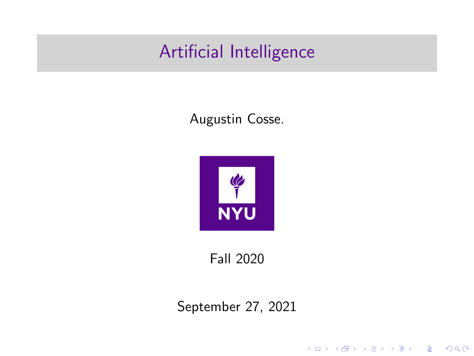# Artificial Intelligence

#### Augustin Cosse.



Fall 2020

September 27, 2021

KO K K Ø K K E K K E K V K K K K K K K K K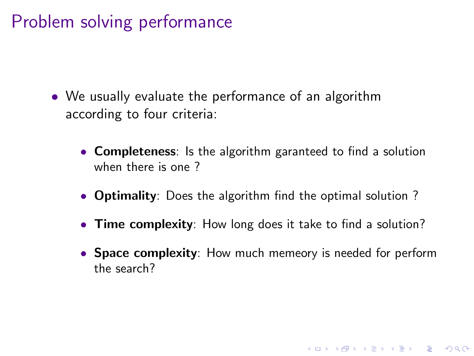# Problem solving performance

- We usually evaluate the performance of an algorithm according to four criteria:
	- **Completeness**: Is the algorithm garanteed to find a solution when there is one ?
	- Optimality: Does the algorithm find the optimal solution ?
	- Time complexity: How long does it take to find a solution?
	- Space complexity: How much memeory is needed for perform the search?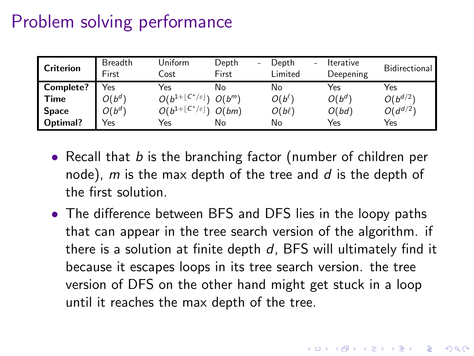# Problem solving performance

| <b>Criterion</b> | <b>Breadth</b><br>First | Uniform<br>Cost                                     | Depth<br>٠<br>First | Depth<br>Limited | ٠ | <b>Iterative</b><br>Deepening | Bidirectional |
|------------------|-------------------------|-----------------------------------------------------|---------------------|------------------|---|-------------------------------|---------------|
| Complete?        | Yes                     | Yes                                                 | No                  | No               |   | Yes                           | Yes           |
| Time             | $O(b^{d^r})$            | $O(b^{1+\lfloor C^*/\varepsilon \rfloor})$ $O(b^m)$ |                     | $O(b^{\ell})$    |   | $O(b^{d})$                    | $O(b^{d/2})$  |
| <b>Space</b>     | $O(b^d)$                | $O(b^{1+\lfloor C^*/\varepsilon \rfloor})$ $O(bm)$  |                     | $O(b\ell)$       |   | O(bd)                         | $O(d^{d/2})$  |
| Optimal?         | Yes                     | Yes                                                 | No                  | No               |   | Yes                           | Yes           |

- Recall that  $b$  is the branching factor (number of children per node), m is the max depth of the tree and  $d$  is the depth of the first solution.
- The difference between BFS and DFS lies in the loopy paths that can appear in the tree search version of the algorithm. if there is a solution at finite depth  $d$ , BFS will ultimately find it because it escapes loops in its tree search version. the tree version of DFS on the other hand might get stuck in a loop until it reaches the max depth of the tree.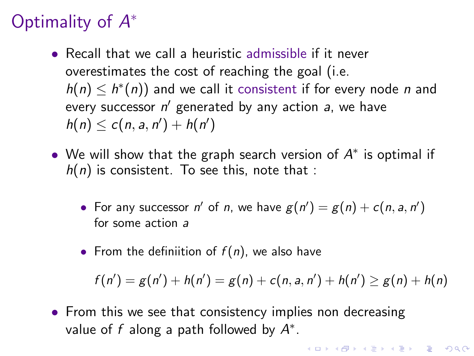- Recall that we call a heuristic admissible if it never overestimates the cost of reaching the goal (i.e.  $h(n) \leq h^*(n)$  and we call it consistent if for every node n and every successor  $n'$  generated by any action  $a$ , we have  $h(n) \le c(n, a, n') + h(n')$
- We will show that the graph search version of  $A^*$  is optimal if  $h(n)$  is consistent. To see this, note that :
	- For any successor n' of n, we have  $g(n') = g(n) + c(n, a, n')$ for some action a
	- From the definiition of  $f(n)$ , we also have

$$
f(n') = g(n') + h(n') = g(n) + c(n, a, n') + h(n') \ge g(n) + h(n)
$$

**KORKAR KERKER SAGA** 

• From this we see that consistency implies non decreasing value of f along a path followed by  $A^*$ .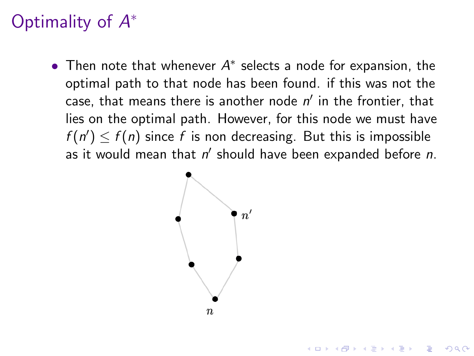• Then note that whenever  $A^*$  selects a node for expansion, the optimal path to that node has been found. if this was not the case, that means there is another node  $n'$  in the frontier, that lies on the optimal path. However, for this node we must have  $f(n') \leq f(n)$  since f is non decreasing. But this is impossible as it would mean that  $n'$  should have been expanded before  $n$ .

**KORKARYKERKER POLO** 

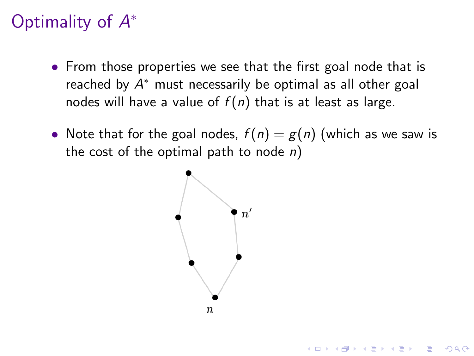- From those properties we see that the first goal node that is reached by  $A^*$  must necessarily be optimal as all other goal nodes will have a value of  $f(n)$  that is at least as large.
- Note that for the goal nodes,  $f(n) = g(n)$  (which as we saw is the cost of the optimal path to node  $n$ )

**KORKARYKERKER POLO** 

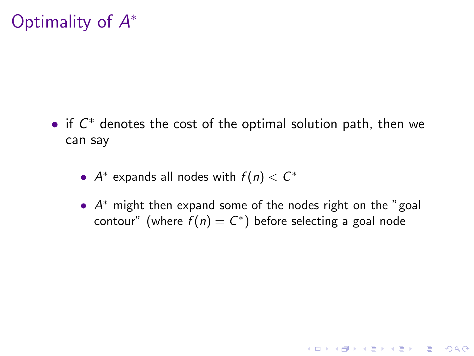- <span id="page-6-0"></span>• if  $C^*$  denotes the cost of the optimal solution path, then we can say
	- $A^*$  expands all nodes with  $f(n) < C^*$
	- A<sup>\*</sup> might then expand some of the nodes right on the "goal contour" (where  $f(n) = C^*$ ) before selecting a goal node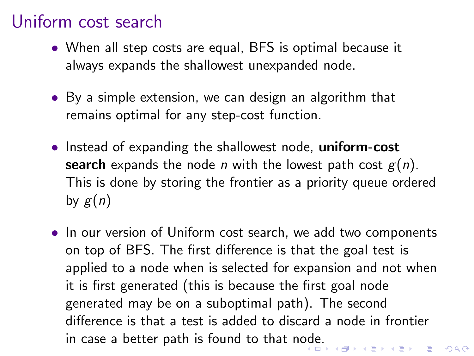- When all step costs are equal, BFS is optimal because it always expands the shallowest unexpanded node.
- By a simple extension, we can design an algorithm that remains optimal for any step-cost function.
- Instead of expanding the shallowest node, uniform-cost search expands the node *n* with the lowest path cost  $g(n)$ . This is done by storing the frontier as a priority queue ordered by  $g(n)$
- In our version of Uniform cost search, we add two components on top of BFS. The first difference is that the goal test is applied to a node when is selected for expansion and not when it is first generated (this is because the first goal node generated may be on a suboptimal path). The second difference is that a test is added to discard a node in frontier in case a better path is found to that n[od](#page-6-0)e[.](#page-8-0)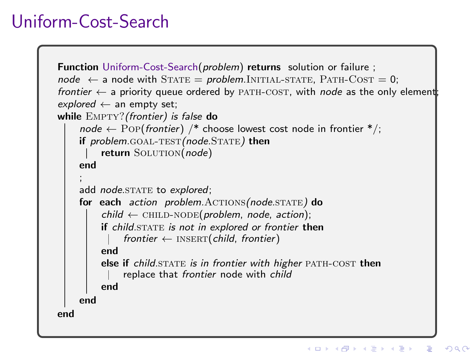# <span id="page-8-0"></span>Uniform-Cost-Search

```
Function Uniform-Cost-Search(problem) returns solution or failure ;
node \leftarrow a node with STATE = problem.INITIAL-STATE, PATH-COST = 0;
frontier \leftarrow a priority queue ordered by PATH-COST, with node as the only element;
explored \leftarrow an empty set;
while EMPTY? (frontier) is false do
     node \leftarrow POPfrontier) /* choose lowest cost node in frontier */;
     if problem. GOAL-TEST(node. STATE) then
         return SOLUTION(node)
     end
     ;
     add node.STATE to explored;
     for each action problem. ACTIONS (node. STATE) do
          child \leftarrow CHILD-NODE(problem, node, action);
         if child.STATE is not in explored or frontier then
               frontier \leftarrow INSERT(child, frontier)
         end
         else if child. STATE is in frontier with higher PATH-COST then
              replace that frontier node with child
         end
     end
end
```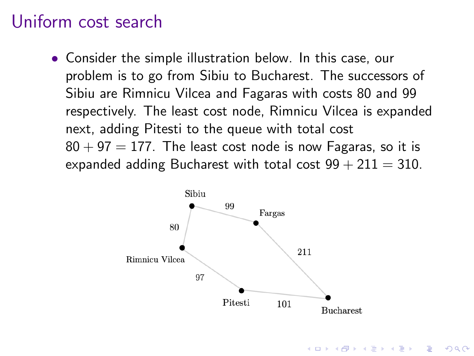• Consider the simple illustration below. In this case, our problem is to go from Sibiu to Bucharest. The successors of Sibiu are Rimnicu Vilcea and Fagaras with costs 80 and 99 respectively. The least cost node, Rimnicu Vilcea is expanded next, adding Pitesti to the queue with total cost  $80 + 97 = 177$ . The least cost node is now Fagaras, so it is expanded adding Bucharest with total cost  $99 + 211 = 310$ .



**KORKARYKERKER POLO**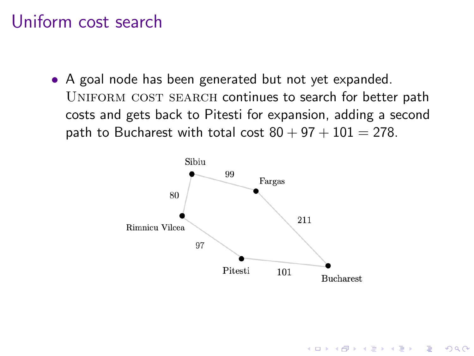• A goal node has been generated but not yet expanded. UNIFORM COST SEARCH continues to search for better path costs and gets back to Pitesti for expansion, adding a second path to Bucharest with total cost  $80 + 97 + 101 = 278$ .



**KORKARYKERKER POLO**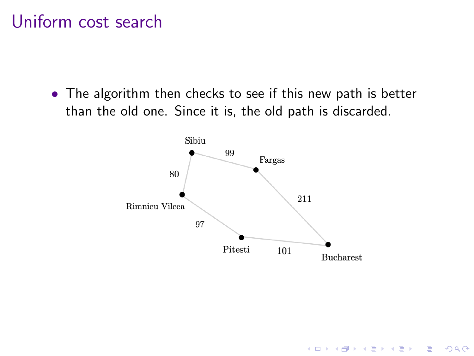• The algorithm then checks to see if this new path is better than the old one. Since it is, the old path is discarded.



K ロ ▶ K 個 ▶ K 할 ▶ K 할 ▶ 이 할 → 이익 @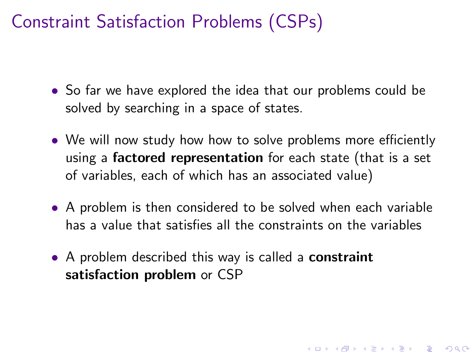- So far we have explored the idea that our problems could be solved by searching in a space of states.
- We will now study how how to solve problems more efficiently using a **factored representation** for each state (that is a set of variables, each of which has an associated value)
- A problem is then considered to be solved when each variable has a value that satisfies all the constraints on the variables

**KORKAR KERKER SAGA** 

• A problem described this way is called a **constraint** satisfaction problem or CSP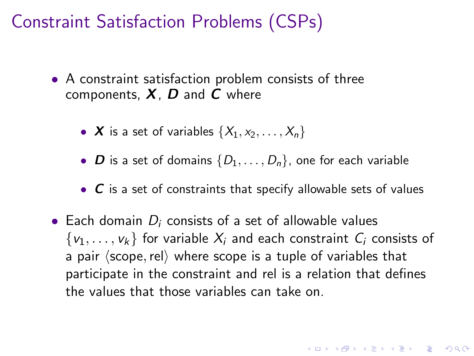- A constraint satisfaction problem consists of three components,  $X$ ,  $D$  and  $C$  where
	- X is a set of variables  $\{X_1, x_2, \ldots, X_n\}$
	- **D** is a set of domains  $\{D_1, \ldots, D_n\}$ , one for each variable
	- $\bullet$   $\degree$  C is a set of constraints that specify allowable sets of values
- Each domain  $D_i$  consists of a set of allowable values  $\{v_1, \ldots, v_k\}$  for variable  $X_i$  and each constraint  $C_i$  consists of a pair  $\langle$  scope, rel $\rangle$  where scope is a tuple of variables that participate in the constraint and rel is a relation that defines the values that those variables can take on.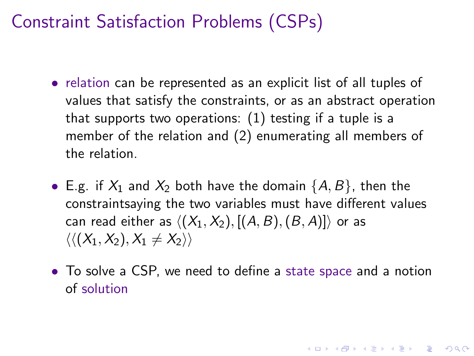- relation can be represented as an explicit list of all tuples of values that satisfy the constraints, or as an abstract operation that supports two operations: (1) testing if a tuple is a member of the relation and (2) enumerating all members of the relation.
- E.g. if  $X_1$  and  $X_2$  both have the domain  $\{A, B\}$ , then the constraintsaying the two variables must have different values can read either as  $\langle (X_1, X_2), [(A, B), (B, A)] \rangle$  or as  $\langle \langle (X_1, X_2), X_1 \neq X_2 \rangle \rangle$
- To solve a CSP, we need to define a state space and a notion of solution

YO A 4 4 4 4 5 A 4 5 A 4 D + 4 D + 4 D + 4 D + 4 D + 4 D + + E + + D + + E + + O + O + + + + + + + +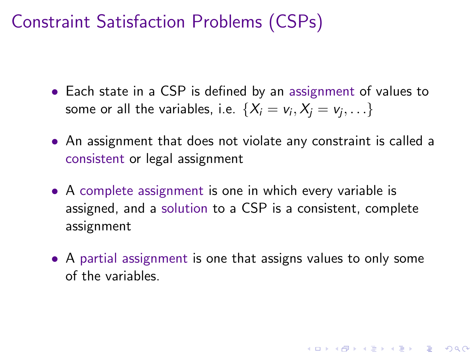- Each state in a CSP is defined by an assignment of values to some or all the variables, i.e.  $\{X_i=v_i,X_j=v_j,\ldots\}$
- An assignment that does not violate any constraint is called a consistent or legal assignment
- A complete assignment is one in which every variable is assigned, and a solution to a CSP is a consistent, complete assignment
- A partial assignment is one that assigns values to only some of the variables.

**KORKAR KERKER SAGA**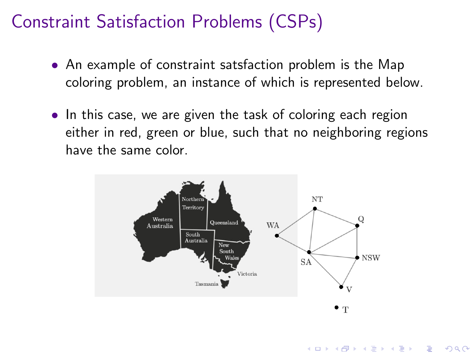- An example of constraint satsfaction problem is the Map coloring problem, an instance of which is represented below.
- In this case, we are given the task of coloring each region either in red, green or blue, such that no neighboring regions have the same color.



**KORK EXTERNE PROVIDE**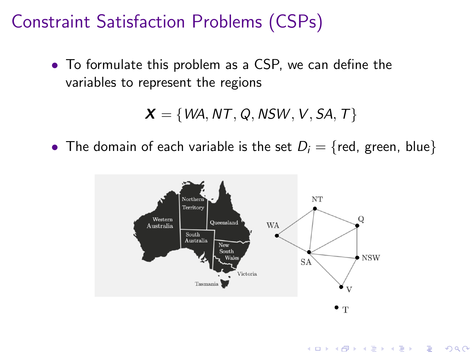• To formulate this problem as a CSP, we can define the variables to represent the regions

$$
\boldsymbol{X} = \{WA, NT, Q, NSW, V, SA, T\}
$$

• The domain of each variable is the set  $D_i = \{red, green, blue\}$ 



**KORK EXTERNE PROVIDE**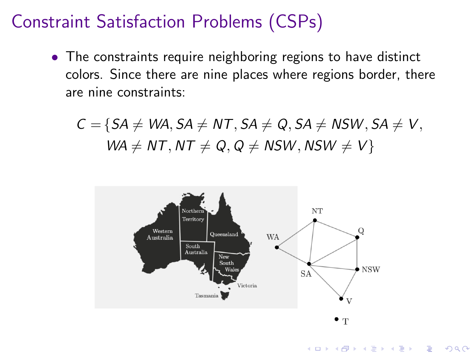• The constraints require neighboring regions to have distinct colors. Since there are nine places where regions border, there are nine constraints:

 $C = \{SA \neq WA, SA \neq NT, SA \neq Q, SA \neq NSW, SA \neq V,$  $WA \neq NT$ ,  $NT \neq Q$ ,  $Q \neq NSW$ ,  $NSW \neq V$ }

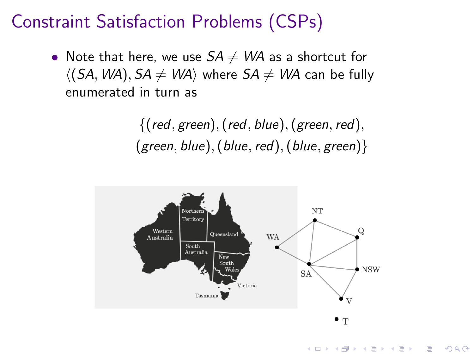• Note that here, we use  $SA \neq WA$  as a shortcut for  $\langle (SA, WA), SA \neq WA \rangle$  where  $SA \neq WA$  can be fully enumerated in turn as

> $\{(\text{red}, \text{green}), (\text{red}, \text{blue}), (\text{green}, \text{red}),\}$ (green, blue), (blue, red), (blue, green) $\}$

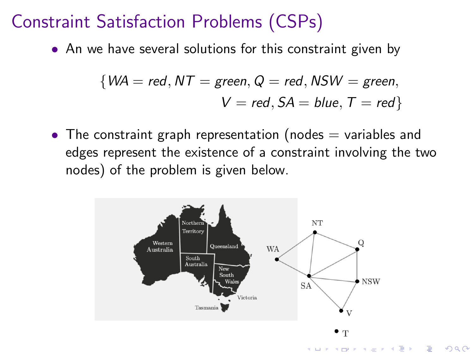• An we have several solutions for this constraint given by

$$
{\text{WA = red, NT = green, Q = red, NSW = green,}\atop V = red, SA = blue, T = red}
$$

• The constraint graph representation (nodes  $=$  variables and edges represent the existence of a constraint involving the two nodes) of the problem is given below.

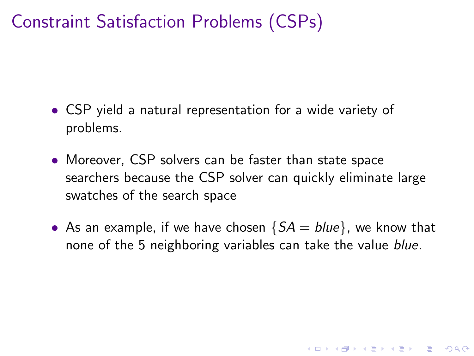- CSP yield a natural representation for a wide variety of problems.
- Moreover, CSP solvers can be faster than state space searchers because the CSP solver can quickly eliminate large swatches of the search space
- As an example, if we have chosen  $\{SA = blue\}$ , we know that none of the 5 neighboring variables can take the value *blue*.

**KORKAR KERKER SAGA**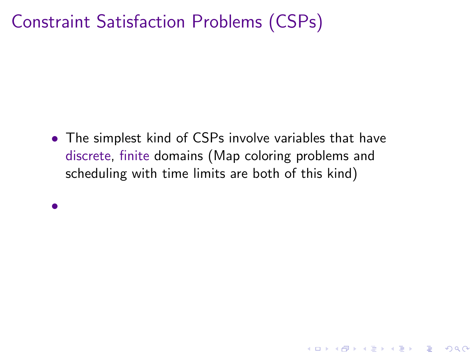• The simplest kind of CSPs involve variables that have discrete, finite domains (Map coloring problems and scheduling with time limits are both of this kind)

•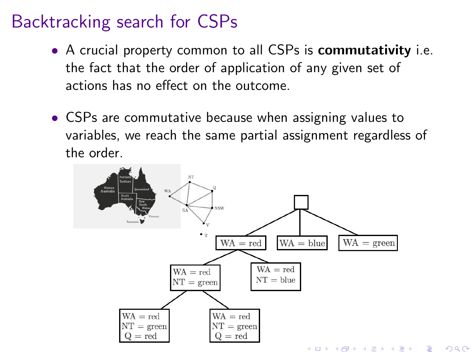- A crucial property common to all CSPs is **commutativity** i.e. the fact that the order of application of any given set of actions has no effect on the outcome.
- CSPs are commutative because when assigning values to variables, we reach the same partial assignment regardless of the order.

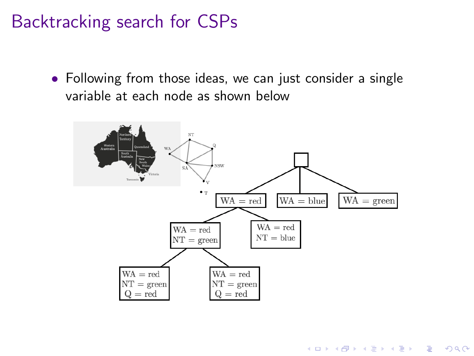• Following from those ideas, we can just consider a single variable at each node as shown below



**KORK ERKER ADA ADA KORA**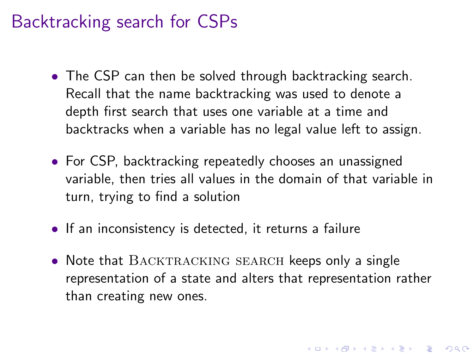- The CSP can then be solved through backtracking search. Recall that the name backtracking was used to denote a depth first search that uses one variable at a time and backtracks when a variable has no legal value left to assign.
- For CSP, backtracking repeatedly chooses an unassigned variable, then tries all values in the domain of that variable in turn, trying to find a solution
- If an inconsistency is detected, it returns a failure
- Note that BACKTRACKING SEARCH keeps only a single representation of a state and alters that representation rather than creating new ones.

4 0 > 4 4 + 4 = + 4 = + = + + 0 4 0 +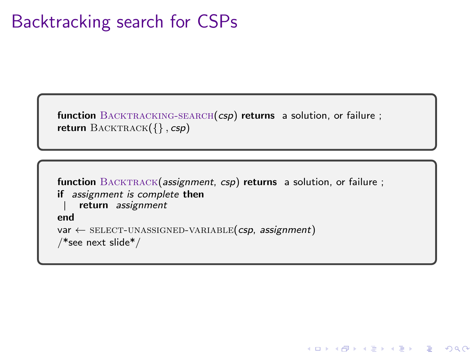```
function BACKTRACKING-SEARCH(csp) returns a solution, or failure ;
return \text{BACKTRACK}(\{\}, \text{csp})
```

```
function BACKTRACK(assignment, csp) returns a solution, or failure ;
if assignment is complete then
    return assignment
end
var \leftarrow SELECT-UNASSIGNED-VARIABLE(csp, assignment)
/*see next slide*/
```
**KORK EXTERNE PROVIDE**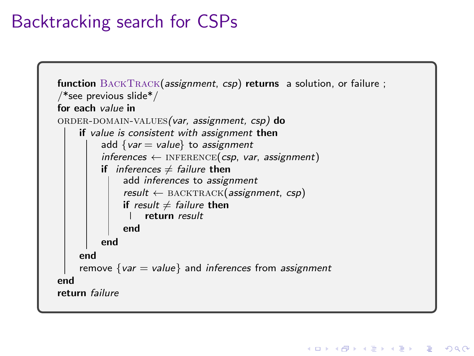```
function BACKTRACK(assignment, csp) returns a solution, or failure ;
/*see previous slide*/
for each value in
ORDER-DOMAIN-VALUES(var, assignment, csp) do
    if value is consistent with assignment then
         add \{var = value\} to assignment
         inferences \leftarrow INFERENCE(csp, var, assignment)
         if inferences \neq failure then
              add inferences to assignment
              result \leftarrow BACKTRACK(assignment, csp)
              if result \neq failure then
                   return result
              end
         end
    end
    remove \{var = value\} and inferences from assignment
end
return failure
```
**KORK EXTERNE PROVIDE**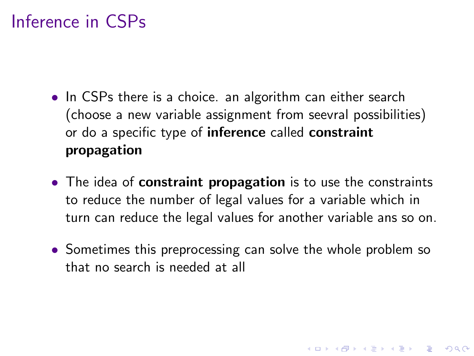# Inference in CSPs

- In CSPs there is a choice, an algorithm can either search (choose a new variable assignment from seevral possibilities) or do a specific type of inference called constraint propagation
- The idea of **constraint propagation** is to use the constraints to reduce the number of legal values for a variable which in turn can reduce the legal values for another variable ans so on.
- Sometimes this preprocessing can solve the whole problem so that no search is needed at all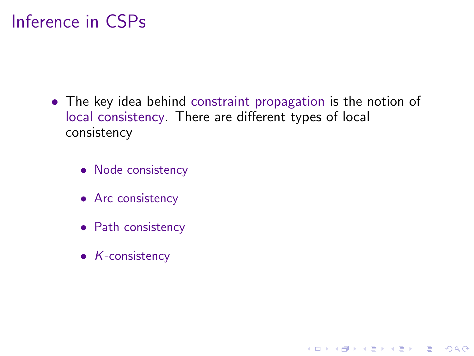# Inference in CSPs

• The key idea behind constraint propagation is the notion of local consistency. There are different types of local consistency

K ロ ▶ K 個 ▶ K 할 ▶ K 할 ▶ 이 할 → 9 Q Q →

- Node consistency
- Arc consistency
- Path consistency
- K-consistency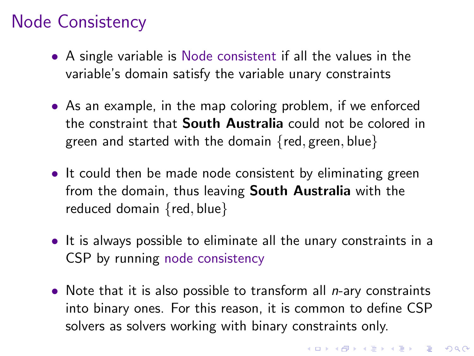# Node Consistency

- A single variable is Node consistent if all the values in the variable's domain satisfy the variable unary constraints
- As an example, in the map coloring problem, if we enforced the constraint that South Australia could not be colored in green and started with the domain  $\{red, green, blue\}$
- It could then be made node consistent by eliminating green from the domain, thus leaving South Australia with the reduced domain {red, blue}
- It is always possible to eliminate all the unary constraints in a CSP by running node consistency
- Note that it is also possible to transform all  $n$ -ary constraints into binary ones. For this reason, it is common to define CSP solvers as solvers working with binary constraints only.